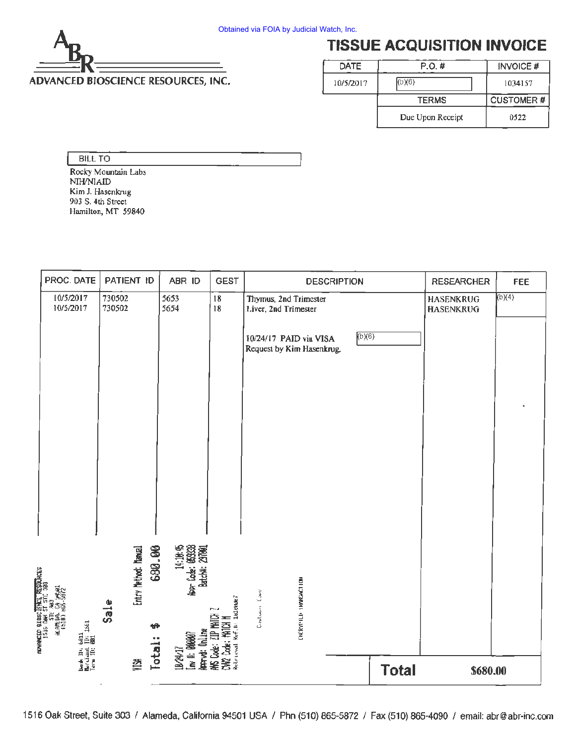

# **TISSUE ACQUISITION INVOICE**

| DATE      | P.O.#            | <b>INVOICE#</b>  |
|-----------|------------------|------------------|
| 10/5/2017 | (b)(6)           | 1034157          |
|           | <b>TERMS</b>     | <b>CUSTOMER#</b> |
|           | Due Upon Receipt | 0522             |

#### BILL TO

Rocky Mountain Labs NIH/NIAID Kim J. Hasenkrug 903 S. 4th Street Hamilton, MT 59840

|                                                                                                                     | PROC. DATE                                          | PATIENT ID                   |        | ABR ID                                                     | <b>GEST</b>                                                         | <b>DESCRIPTION</b>                                  |              | <b>RESEARCHER</b>                    | <b>FEE</b> |
|---------------------------------------------------------------------------------------------------------------------|-----------------------------------------------------|------------------------------|--------|------------------------------------------------------------|---------------------------------------------------------------------|-----------------------------------------------------|--------------|--------------------------------------|------------|
|                                                                                                                     | 10/5/2017<br>10/5/2017                              | 730502<br>730502             |        | 5653<br>5654                                               | ${\bf 18}$<br>18                                                    | Thymus, 2nd Trimester<br>Liver, 2nd Trimester       |              | <b>HASENKRUG</b><br><b>HASENKRUG</b> | (b)(4)     |
|                                                                                                                     |                                                     |                              |        |                                                            |                                                                     | 10/24/17 PAID via VISA<br>Request by Kim Hasenkrug. | (b)(6)       |                                      |            |
|                                                                                                                     |                                                     |                              | 680.00 | 14:18:45<br>14:18:45<br>1980: 18338<br>1980: 19:10:44:2010 |                                                                     |                                                     |              |                                      |            |
| <b>SURCES</b><br>2,05-950 (071)<br>1976 DHK 21, 2012<br>1976 DHK 21, 2013<br>1976 DHK 21, 2013<br>1978 DHK 21, 2013 | Hersk II: 6811<br>Merchand II: 1561<br>Term II: 001 | Entry Nethod: Namual<br>Sale | Total: | <b>AATYC: Unline</b><br><b>Inv I: 00007</b>                | CM2 Code: HATCH M<br>Referencial Ref.i.d. Indianan'i<br>HK Code: ZI | ENCRYPTED TRONGACTION<br>Castomer Covy              |              |                                      |            |
|                                                                                                                     |                                                     | 졏                            |        | 16                                                         |                                                                     |                                                     | <b>Total</b> | \$680.00                             |            |

1516 Oak Street, Suite 303 / Alameda, California 94501 USA / Phn (510) 865-5872 / Fax (510) 865-4090 / email: abr@abr-inc.com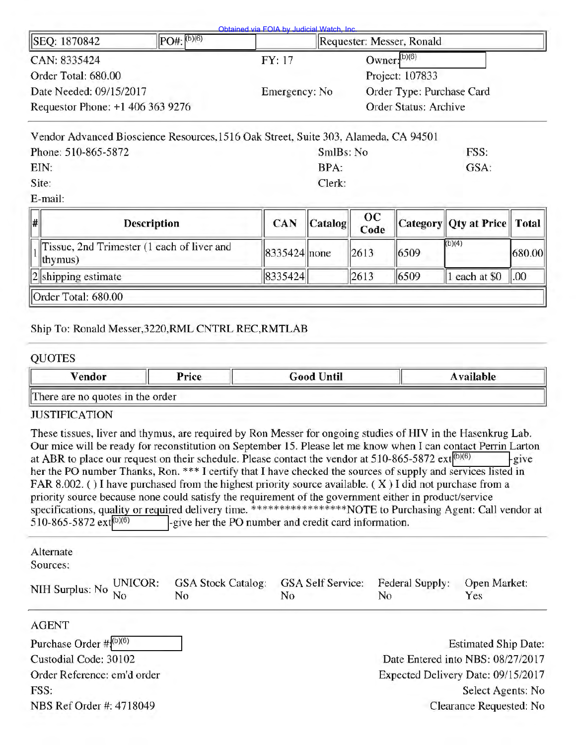| SEQ: 1870842                     | $PO#$ : (b)(6) |               | Requester: Messer, Ronald |
|----------------------------------|----------------|---------------|---------------------------|
| CAN: 8335424                     |                | FY: 17        | Owner: $(b)(6)$           |
| Order Total: 680.00              |                |               | Project: 107833           |
| Date Needed: 09/15/2017          |                | Emergency: No | Order Type: Purchase Card |
| Requestor Phone: +1 406 363 9276 |                |               | Order Status: Archive     |

| Vendor Advanced Bioscience Resources, 1516 Oak Street, Suite 303, Alameda, CA 94501 |           |      |
|-------------------------------------------------------------------------------------|-----------|------|
| Phone: 510-865-5872                                                                 | SmlBs: No | FSS. |
| EIN:                                                                                | BPA:      | GSA: |
| Site:                                                                               | Clerk:    |      |

E-mail:

| $\parallel$ # | <b>Description</b>                                             | <b>CAN</b>       | $ $ Catalog $ $ | OC<br>Code |      | Category  Qty at Price    Total |                |  |  |
|---------------|----------------------------------------------------------------|------------------|-----------------|------------|------|---------------------------------|----------------|--|--|
|               | Tissue, 2nd Trimester (1 each of liver and<br>$ thymus\rangle$ | $ 8335424 $ none |                 | 2613       | 6509 | (b)(4)                          | 680.00         |  |  |
|               | $  2  $ shipping estimate                                      | 8335424          |                 | 2613       | 6509 | each at \$0                     | $\parallel 00$ |  |  |
|               | Order Total: 680.00                                            |                  |                 |            |      |                                 |                |  |  |

## Ship To: Ronald Messer,3220,RML CNTRL REC,RMTLAB

## QUOTES

| Vendor                                                                                                                                                                                                                                                                                                                                                                                                                                                                                                                                                                                                                                                                                                                                                                                                                               | Price                                                | <b>Good Until</b>                          |                       | <b>Available</b>                   |
|--------------------------------------------------------------------------------------------------------------------------------------------------------------------------------------------------------------------------------------------------------------------------------------------------------------------------------------------------------------------------------------------------------------------------------------------------------------------------------------------------------------------------------------------------------------------------------------------------------------------------------------------------------------------------------------------------------------------------------------------------------------------------------------------------------------------------------------|------------------------------------------------------|--------------------------------------------|-----------------------|------------------------------------|
| There are no quotes in the order                                                                                                                                                                                                                                                                                                                                                                                                                                                                                                                                                                                                                                                                                                                                                                                                     |                                                      |                                            |                       |                                    |
| <b>JUSTIFICATION</b>                                                                                                                                                                                                                                                                                                                                                                                                                                                                                                                                                                                                                                                                                                                                                                                                                 |                                                      |                                            |                       |                                    |
| These tissues, liver and thymus, are required by Ron Messer for ongoing studies of HIV in the Hasenkrug Lab.<br>Our mice will be ready for reconstitution on September 15. Please let me know when I can contact Perrin Larton<br>at ABR to place our request on their schedule. Please contact the vendor at 510-865-5872 ext $\vert^{(b)(6)}$<br>her the PO number Thanks, Ron. *** I certify that I have checked the sources of supply and services listed in<br>FAR 8.002. () I have purchased from the highest priority source available. ( $X$ ) I did not purchase from a<br>priority source because none could satisfy the requirement of the government either in product/service<br>specifications, quality or required delivery time. *****************NOTE to Purchasing Agent: Call vendor at<br>510-865-5872 ext(b)(6) | -give her the PO number and credit card information. |                                            |                       | -give                              |
| Alternate<br>Sources:                                                                                                                                                                                                                                                                                                                                                                                                                                                                                                                                                                                                                                                                                                                                                                                                                |                                                      |                                            |                       |                                    |
| UNICOR:<br>NIH Surplus: No<br>No                                                                                                                                                                                                                                                                                                                                                                                                                                                                                                                                                                                                                                                                                                                                                                                                     | <b>GSA Stock Catalog:</b><br>No                      | <b>GSA Self Service:</b><br>N <sub>0</sub> | Federal Supply:<br>No | Open Market:<br>Yes                |
| <b>AGENT</b>                                                                                                                                                                                                                                                                                                                                                                                                                                                                                                                                                                                                                                                                                                                                                                                                                         |                                                      |                                            |                       |                                    |
| Purchase Order $\#{(b)(6)}$                                                                                                                                                                                                                                                                                                                                                                                                                                                                                                                                                                                                                                                                                                                                                                                                          |                                                      |                                            |                       | <b>Estimated Ship Date:</b>        |
| Custodial Code: 30102                                                                                                                                                                                                                                                                                                                                                                                                                                                                                                                                                                                                                                                                                                                                                                                                                |                                                      |                                            |                       | Date Entered into NBS: 08/27/2017  |
| Order Reference: em'd order                                                                                                                                                                                                                                                                                                                                                                                                                                                                                                                                                                                                                                                                                                                                                                                                          |                                                      |                                            |                       | Expected Delivery Date: 09/15/2017 |
| FSS:                                                                                                                                                                                                                                                                                                                                                                                                                                                                                                                                                                                                                                                                                                                                                                                                                                 |                                                      |                                            |                       | Select Agents: No                  |
| NBS Ref Order #: 4718049                                                                                                                                                                                                                                                                                                                                                                                                                                                                                                                                                                                                                                                                                                                                                                                                             |                                                      |                                            |                       | Clearance Requested: No            |